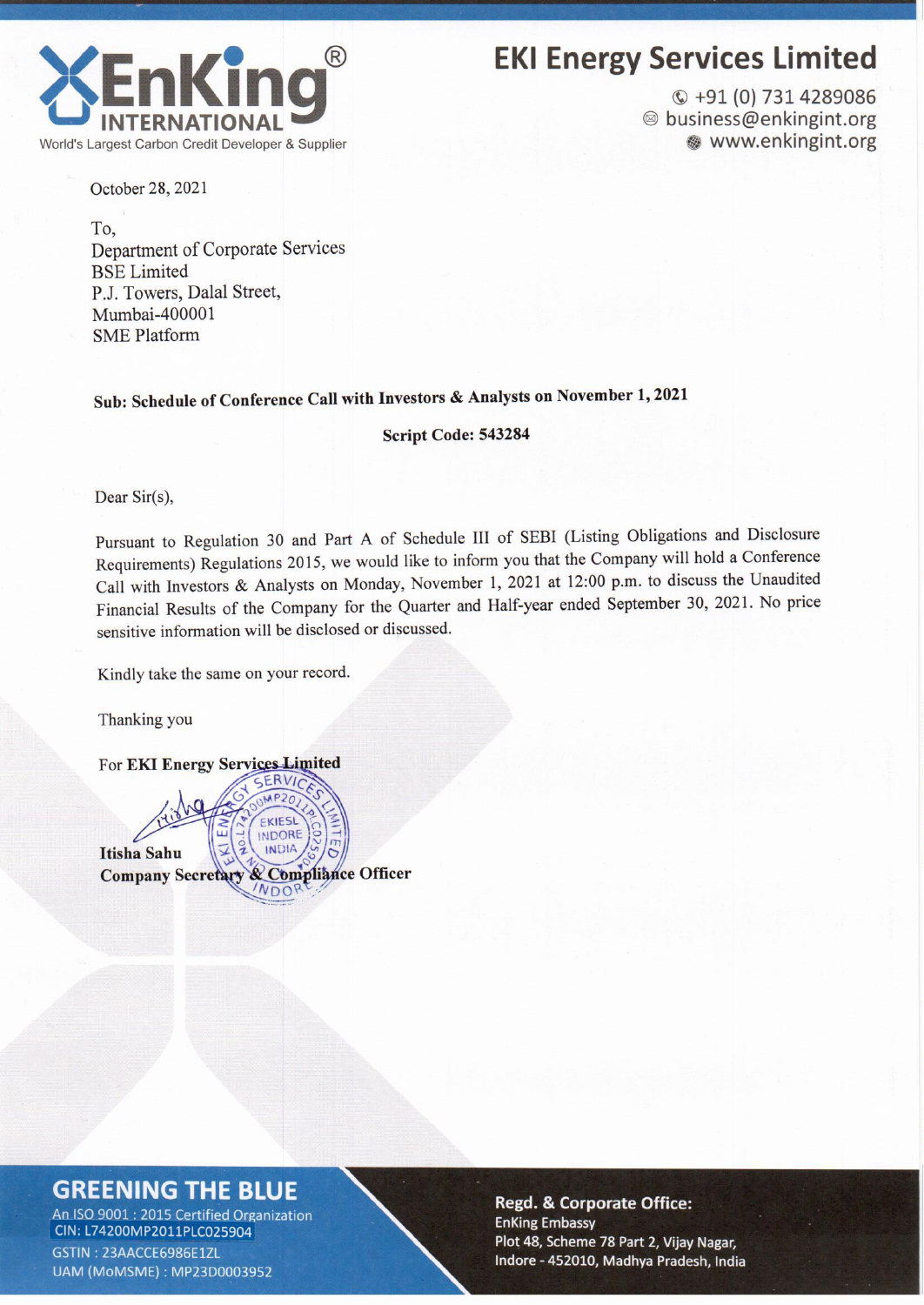

### **EKI Energy Services Limited**

 $Q + 91(0)$  731 4289086 <sup>◎</sup> business@enkingint.org www.enkingint.org

October 28, 2021

To, Department of Corporate Services **BSE** Limited P.J. Towers, Dalal Street, Mumbai-400001 **SME Platform** 

### Sub: Schedule of Conference Call with Investors & Analysts on November 1, 2021

Script Code: 543284

Dear Sir(s),

Pursuant to Regulation 30 and Part A of Schedule III of SEBI (Listing Obligations and Disclosure Requirements) Regulations 2015, we would like to inform you that the Company will hold a Conference Call with Investors & Analysts on Monday, November 1, 2021 at 12:00 p.m. to discuss the Unaudited Financial Results of the Company for the Quarter and Half-year ended September 30, 2021. No price sensitive information will be disclosed or discussed.

Kindly take the same on your record.

Thanking you

For EKI Energy Services Limited

ERVIC EKIESL **INDORE INDIA Itisha Sahu** Company Secretary & Compliance Officer  $NDO$ 

### **GREENING THE BLUE**

An ISO 9001 : 2015 Certified Organization CIN: L74200MP2011PLC025904 GSTIN: 23AACCE6986E1ZL UAM (MoMSME): MP23D0003952

**Regd. & Corporate Office: EnKing Embassy** Plot 48, Scheme 78 Part 2, Vijay Nagar, Indore - 452010, Madhya Pradesh, India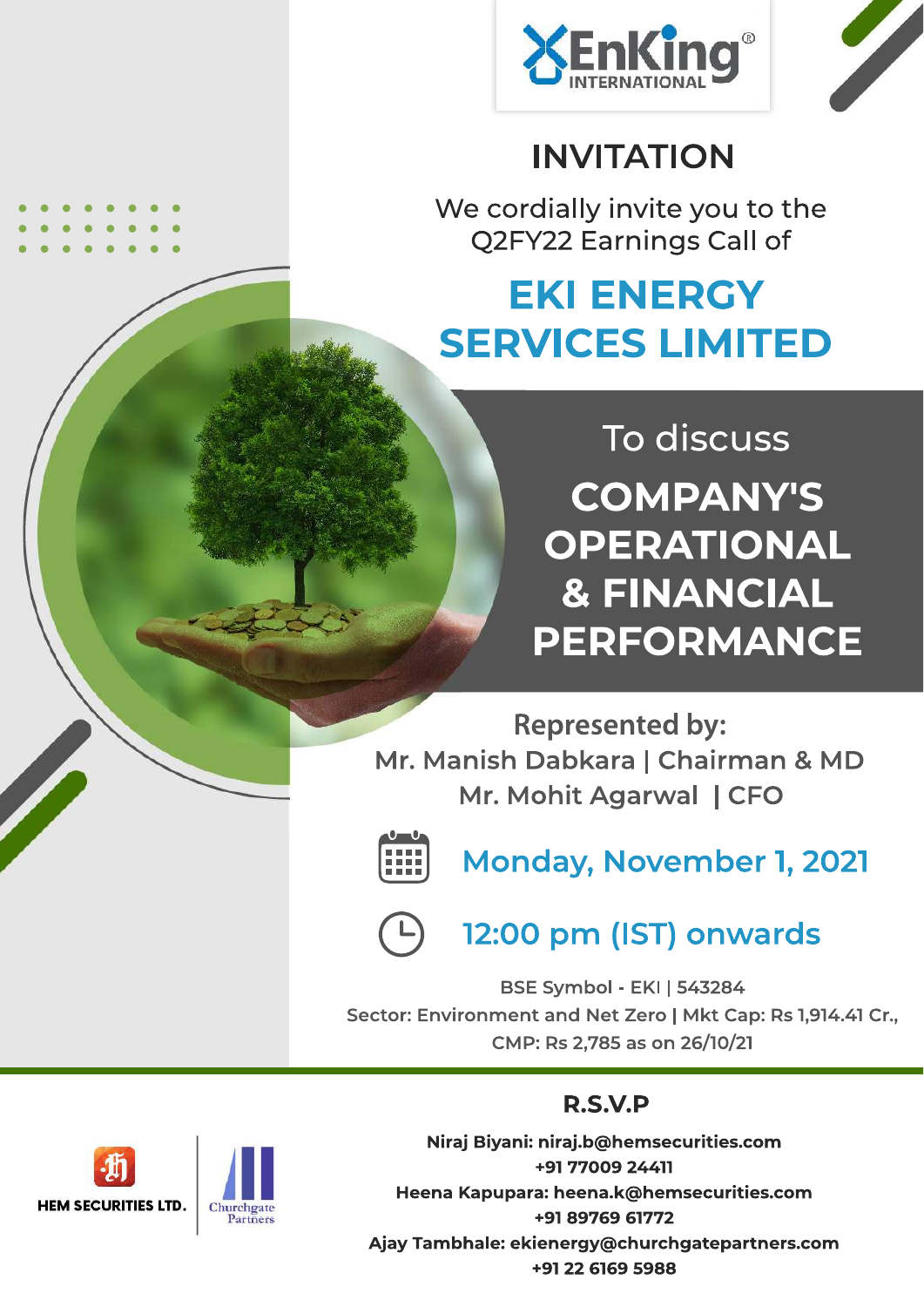

# **INVITATION**

We cordially invite you to the Q2FY22 Earnings Call of

# **EKI ENERGY SERVICES LIMITED**

To discuss **COMPANY'S** OPERATIONAL **& FINANCIAL PERFORMANCE** 

**Represented by:** Mr. Manish Dabkara | Chairman & MD Mr. Mohit Agarwal | CFO



Monday, November 1, 2021



## 12:00 pm (IST) onwards

**BSE Symbol - EKI | 543284** Sector: Environment and Net Zero | Mkt Cap: Rs 1,914.41 Cr., CMP: Rs 2.785 as on 26/10/21

## **R.S.V.P**

Niraj Biyani: niraj.b@hemsecurities.com +91 77009 24411 Heena Kapupara: heena.k@hemsecurities.com +91 89769 61772 Ajay Tambhale: ekienergy@churchgatepartners.com +91 22 6169 5988